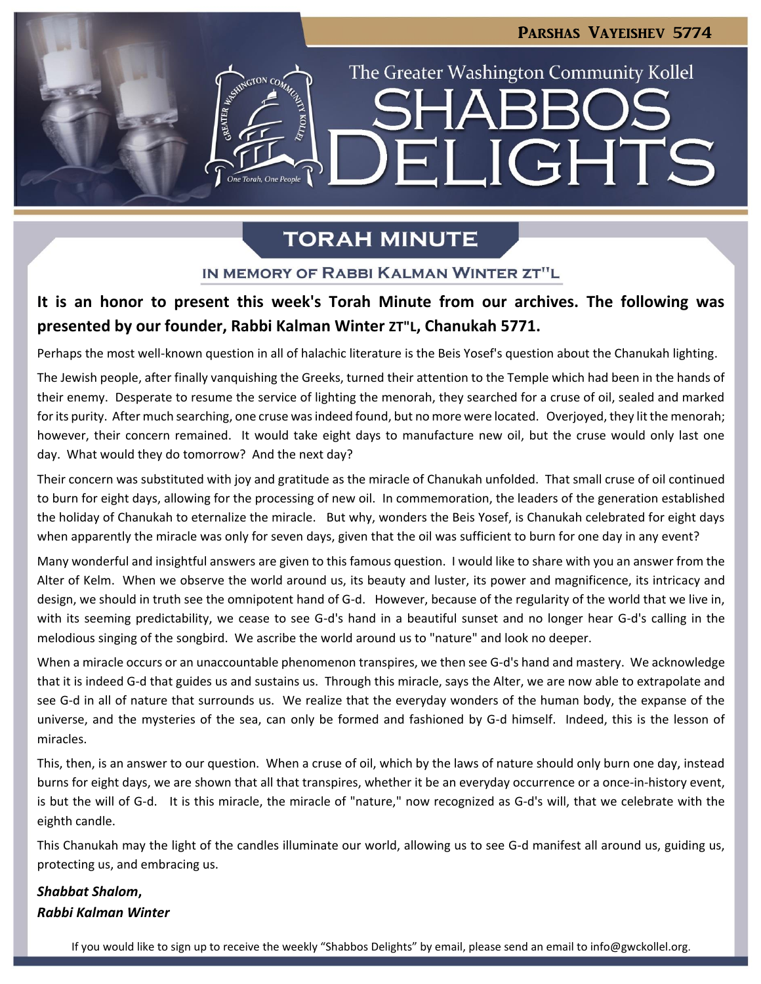**LIGHTS** 

The Greater Washington Community Kollel

## **TORAH MINUTE**

One Torah, One People

 $\blacksquare$ 

#### IN MEMORY OF RABBI KALMAN WINTER ZT"L

### **It is an honor to present this week's Torah Minute from our archives. The following was presented by our founder, Rabbi Kalman Winter ZT"L, Chanukah 5771.**

Perhaps the most well-known question in all of halachic literature is the Beis Yosef's question about the Chanukah lighting.

The Jewish people, after finally vanquishing the Greeks, turned their attention to the Temple which had been in the hands of their enemy. Desperate to resume the service of lighting the menorah, they searched for a cruse of oil, sealed and marked for its purity. After much searching, one cruse was indeed found, but no more were located. Overjoyed, they lit the menorah; however, their concern remained. It would take eight days to manufacture new oil, but the cruse would only last one day. What would they do tomorrow? And the next day?

Their concern was substituted with joy and gratitude as the miracle of Chanukah unfolded. That small cruse of oil continued to burn for eight days, allowing for the processing of new oil. In commemoration, the leaders of the generation established the holiday of Chanukah to eternalize the miracle. But why, wonders the Beis Yosef, is Chanukah celebrated for eight days when apparently the miracle was only for seven days, given that the oil was sufficient to burn for one day in any event?

Many wonderful and insightful answers are given to this famous question. I would like to share with you an answer from the Alter of Kelm. When we observe the world around us, its beauty and luster, its power and magnificence, its intricacy and design, we should in truth see the omnipotent hand of G-d. However, because of the regularity of the world that we live in, with its seeming predictability, we cease to see G-d's hand in a beautiful sunset and no longer hear G-d's calling in the melodious singing of the songbird. We ascribe the world around us to "nature" and look no deeper.

When a miracle occurs or an unaccountable phenomenon transpires, we then see G-d's hand and mastery. We acknowledge that it is indeed G-d that guides us and sustains us. Through this miracle, says the Alter, we are now able to extrapolate and see G-d in all of nature that surrounds us. We realize that the everyday wonders of the human body, the expanse of the universe, and the mysteries of the sea, can only be formed and fashioned by G-d himself. Indeed, this is the lesson of miracles.

This, then, is an answer to our question. When a cruse of oil, which by the laws of nature should only burn one day, instead burns for eight days, we are shown that all that transpires, whether it be an everyday occurrence or a once-in-history event, is but the will of G-d. It is this miracle, the miracle of "nature," now recognized as G-d's will, that we celebrate with the eighth candle.

This Chanukah may the light of the candles illuminate our world, allowing us to see G-d manifest all around us, guiding us, protecting us, and embracing us.

### *Shabbat Shalom***,**  *Rabbi Kalman Winter*

If you would like to sign up to receive the weekly "Shabbos Delights" by email, please send an email to [info@gwckollel.org](mailto:info@gwckollel.org).